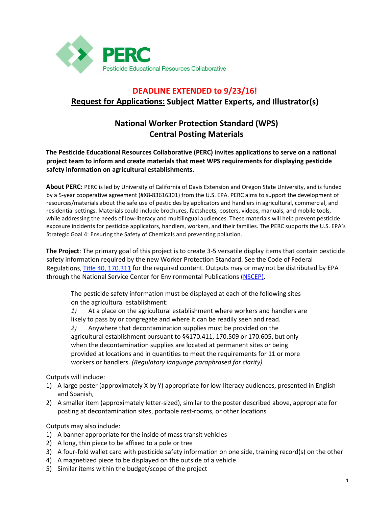

# **DEADLINE EXTENDED to 9/23/16! Request for Applications: Subject Matter Experts, and Illustrator(s)**

## **National Worker Protection Standard (WPS) Central Posting Materials**

#### **The Pesticide Educational Resources Collaborative (PERC) invites applications to serve on a national project team to inform and create materials that meet WPS requirements for displaying pesticide safety information on agricultural establishments.**

**About PERC:** PERC is led by University of California of Davis Extension and Oregon State University, and is funded by a 5-year cooperative agreement (#X8-83616301) from the U.S. EPA. PERC aims to support the development of resources/materials about the safe use of pesticides by applicators and handlers in agricultural, commercial, and residential settings. Materials could include brochures, factsheets, posters, videos, manuals, and mobile tools, while addressing the needs of low-literacy and multilingual audiences. These materials will help prevent pesticide exposure incidents for pesticide applicators, handlers, workers, and their families. The PERC supports the U.S. EPA's Strategic Goal 4: Ensuring the Safety of Chemicals and preventing pollution.

**The Project**: The primary goal of this project is to create 3-5 versatile display items that contain pesticide safety information required by the new Worker Protection Standard. See the Code of Federal Regulations, [Title 40, 170.311](http://www.ecfr.gov/cgi-bin/retrieveECFR?gp=1&SID=b3edef346e5deb639d0bc5598aeab1b4&ty=HTML&h=L&mc=true&n=pt40.24.170&r=PART#se40.26.170_1311) for the required content. Outputs may or may not be distributed by EPA through the National Service Center for Environmental Publications [\(NSCEP\)](https://www.epa.gov/nscep).

The pesticide safety information must be displayed at each of the following sites on the agricultural establishment:

*1)* At a place on the agricultural establishment where workers and handlers are likely to pass by or congregate and where it can be readily seen and read.

*2)* Anywhere that decontamination supplies must be provided on the agricultural establishment pursuant to §§170.411, 170.509 or 170.605, but only when the decontamination supplies are located at permanent sites or being provided at locations and in quantities to meet the requirements for 11 or more workers or handlers. *(Regulatory language paraphrased for clarity)*

Outputs will include:

- 1) A large poster (approximately X by Y) appropriate for low-literacy audiences, presented in English and Spanish,
- 2) A smaller item (approximately letter-sized), similar to the poster described above, appropriate for posting at decontamination sites, portable rest-rooms, or other locations

Outputs may also include:

- 1) A banner appropriate for the inside of mass transit vehicles
- 2) A long, thin piece to be affixed to a pole or tree
- 3) A four-fold wallet card with pesticide safety information on one side, training record(s) on the other
- 4) A magnetized piece to be displayed on the outside of a vehicle
- 5) Similar items within the budget/scope of the project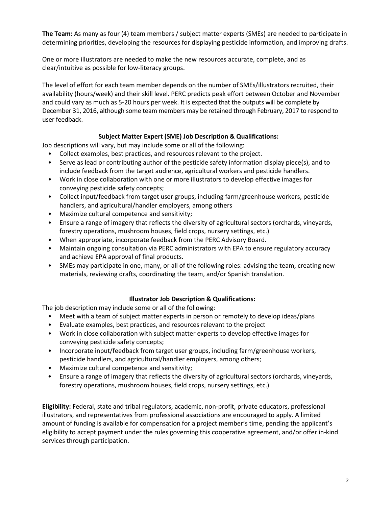**The Team:** As many as four (4) team members / subject matter experts (SMEs) are needed to participate in determining priorities, developing the resources for displaying pesticide information, and improving drafts.

One or more illustrators are needed to make the new resources accurate, complete, and as clear/intuitive as possible for low-literacy groups.

The level of effort for each team member depends on the number of SMEs/illustrators recruited, their availability (hours/week) and their skill level. PERC predicts peak effort between October and November and could vary as much as 5-20 hours per week. It is expected that the outputs will be complete by December 31, 2016, although some team members may be retained through February, 2017 to respond to user feedback.

#### **Subject Matter Expert (SME) Job Description & Qualifications:**

Job descriptions will vary, but may include some or all of the following:

- Collect examples, best practices, and resources relevant to the project.
- Serve as lead or contributing author of the pesticide safety information display piece(s), and to include feedback from the target audience, agricultural workers and pesticide handlers.
- Work in close collaboration with one or more illustrators to develop effective images for conveying pesticide safety concepts;
- Collect input/feedback from target user groups, including farm/greenhouse workers, pesticide handlers, and agricultural/handler employers, among others
- Maximize cultural competence and sensitivity;
- Ensure a range of imagery that reflects the diversity of agricultural sectors (orchards, vineyards, forestry operations, mushroom houses, field crops, nursery settings, etc.)
- When appropriate, incorporate feedback from the PERC Advisory Board.
- Maintain ongoing consultation via PERC administrators with EPA to ensure regulatory accuracy and achieve EPA approval of final products.
- SMEs may participate in one, many, or all of the following roles: advising the team, creating new materials, reviewing drafts, coordinating the team, and/or Spanish translation.

### **Illustrator Job Description & Qualifications:**

The job description may include some or all of the following:

- Meet with a team of subject matter experts in person or remotely to develop ideas/plans
- Evaluate examples, best practices, and resources relevant to the project
- Work in close collaboration with subject matter experts to develop effective images for conveying pesticide safety concepts;
- Incorporate input/feedback from target user groups, including farm/greenhouse workers, pesticide handlers, and agricultural/handler employers, among others;
- Maximize cultural competence and sensitivity;
- Ensure a range of imagery that reflects the diversity of agricultural sectors (orchards, vineyards, forestry operations, mushroom houses, field crops, nursery settings, etc.)

**Eligibility:** Federal, state and tribal regulators, academic, non-profit, private educators, professional illustrators, and representatives from professional associations are encouraged to apply. A limited amount of funding is available for compensation for a project member's time, pending the applicant's eligibility to accept payment under the rules governing this cooperative agreement, and/or offer in-kind services through participation.